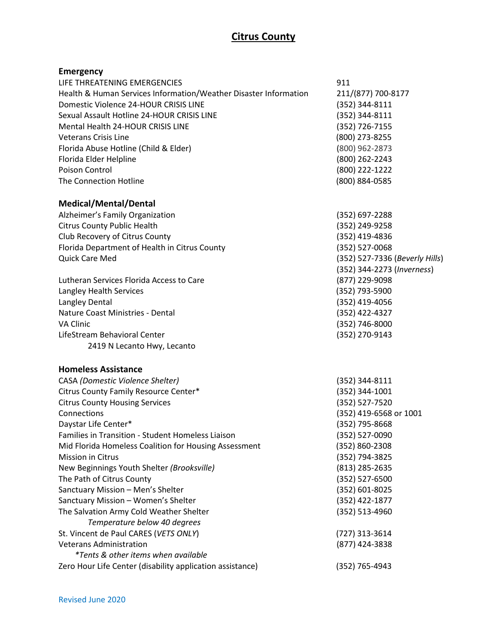| <b>Emergency</b>                                                 |                                |
|------------------------------------------------------------------|--------------------------------|
| LIFE THREATENING EMERGENCIES                                     | 911                            |
| Health & Human Services Information/Weather Disaster Information | 211/(877) 700-8177             |
| Domestic Violence 24-HOUR CRISIS LINE                            | (352) 344-8111                 |
| Sexual Assault Hotline 24-HOUR CRISIS LINE                       | (352) 344-8111                 |
| Mental Health 24-HOUR CRISIS LINE                                | (352) 726-7155                 |
| <b>Veterans Crisis Line</b>                                      | (800) 273-8255                 |
| Florida Abuse Hotline (Child & Elder)                            | (800) 962-2873                 |
| Florida Elder Helpline                                           | (800) 262-2243                 |
| Poison Control                                                   | (800) 222-1222                 |
| The Connection Hotline                                           | (800) 884-0585                 |
|                                                                  |                                |
| <b>Medical/Mental/Dental</b>                                     |                                |
| Alzheimer's Family Organization                                  | (352) 697-2288                 |
| <b>Citrus County Public Health</b>                               | (352) 249-9258                 |
| Club Recovery of Citrus County                                   | (352) 419-4836                 |
| Florida Department of Health in Citrus County                    | (352) 527-0068                 |
| Quick Care Med                                                   | (352) 527-7336 (Beverly Hills) |
|                                                                  | (352) 344-2273 (Inverness)     |
| Lutheran Services Florida Access to Care                         | (877) 229-9098                 |
| Langley Health Services                                          | (352) 793-5900                 |
| Langley Dental                                                   | (352) 419-4056                 |
| Nature Coast Ministries - Dental                                 | (352) 422-4327                 |
| <b>VA Clinic</b>                                                 | (352) 746-8000                 |
| LifeStream Behavioral Center                                     | (352) 270-9143                 |
| 2419 N Lecanto Hwy, Lecanto                                      |                                |
|                                                                  |                                |
| <b>Homeless Assistance</b>                                       |                                |
| CASA (Domestic Violence Shelter)                                 | (352) 344-8111                 |
| Citrus County Family Resource Center*                            | $(352)$ 344-1001               |
| <b>Citrus County Housing Services</b>                            | (352) 527-7520                 |
| Connections                                                      | (352) 419-6568 or 1001         |
| Daystar Life Center*                                             | (352) 795-8668                 |
| Families in Transition - Student Homeless Liaison                | (352) 527-0090                 |
| Mid Florida Homeless Coalition for Housing Assessment            | (352) 860-2308                 |
| <b>Mission in Citrus</b>                                         | (352) 794-3825                 |
| New Beginnings Youth Shelter (Brooksville)                       | (813) 285-2635                 |
| The Path of Citrus County                                        | (352) 527-6500                 |
| Sanctuary Mission - Men's Shelter                                | (352) 601-8025                 |
| Sanctuary Mission - Women's Shelter                              | (352) 422-1877                 |
| The Salvation Army Cold Weather Shelter                          | (352) 513-4960                 |
| Temperature below 40 degrees                                     |                                |
| St. Vincent de Paul CARES (VETS ONLY)                            | (727) 313-3614                 |
| <b>Veterans Administration</b>                                   | (877) 424-3838                 |
| <i>*Tents &amp; other items when available</i>                   |                                |
| Zero Hour Life Center (disability application assistance)        | (352) 765-4943                 |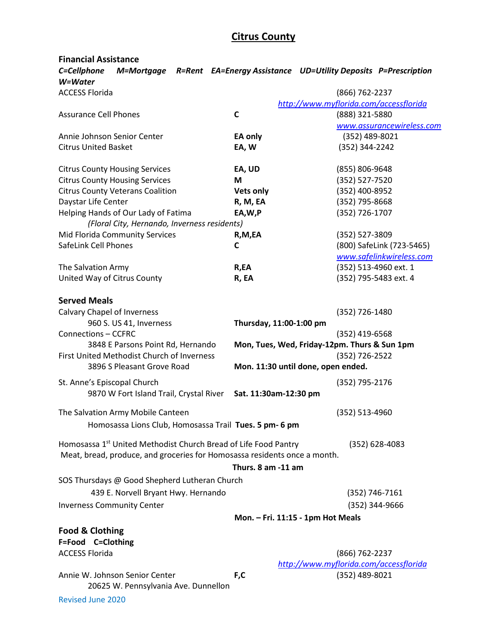# **Citrus County**

## **Financial Assistance**

| C=Cellphone<br>W=Water            | M=Mortgage R=Rent EA=Energy Assistance UD=Utility Deposits P=Prescription                                                                                |  |                                              |                       |                                        |
|-----------------------------------|----------------------------------------------------------------------------------------------------------------------------------------------------------|--|----------------------------------------------|-----------------------|----------------------------------------|
| <b>ACCESS Florida</b>             |                                                                                                                                                          |  |                                              | (866) 762-2237        |                                        |
|                                   |                                                                                                                                                          |  |                                              |                       | http://www.myflorida.com/accessflorida |
| <b>Assurance Cell Phones</b>      |                                                                                                                                                          |  | C                                            | (888) 321-5880        |                                        |
|                                   |                                                                                                                                                          |  |                                              |                       | www.assurancewireless.com              |
| Annie Johnson Senior Center       |                                                                                                                                                          |  | <b>EA only</b>                               | (352) 489-8021        |                                        |
| <b>Citrus United Basket</b>       |                                                                                                                                                          |  | EA, W                                        | (352) 344-2242        |                                        |
|                                   | <b>Citrus County Housing Services</b>                                                                                                                    |  | EA, UD                                       | (855) 806-9648        |                                        |
|                                   | <b>Citrus County Housing Services</b>                                                                                                                    |  | M                                            | (352) 527-7520        |                                        |
|                                   | <b>Citrus County Veterans Coalition</b>                                                                                                                  |  | <b>Vets only</b>                             | (352) 400-8952        |                                        |
| Daystar Life Center               |                                                                                                                                                          |  | R, M, EA                                     | (352) 795-8668        |                                        |
|                                   | Helping Hands of Our Lady of Fatima<br>(Floral City, Hernando, Inverness residents)                                                                      |  | EA, W, P                                     | (352) 726-1707        |                                        |
|                                   | Mid Florida Community Services                                                                                                                           |  | R, M, EA                                     | (352) 527-3809        |                                        |
| SafeLink Cell Phones              |                                                                                                                                                          |  | C                                            |                       | (800) SafeLink (723-5465)              |
|                                   |                                                                                                                                                          |  |                                              |                       | www.safelinkwireless.com               |
| The Salvation Army                |                                                                                                                                                          |  | R,EA                                         | (352) 513-4960 ext. 1 |                                        |
| United Way of Citrus County       |                                                                                                                                                          |  | R, EA                                        |                       | (352) 795-5483 ext. 4                  |
| <b>Served Meals</b>               |                                                                                                                                                          |  |                                              |                       |                                        |
| Calvary Chapel of Inverness       |                                                                                                                                                          |  |                                              | (352) 726-1480        |                                        |
|                                   | 960 S. US 41, Inverness                                                                                                                                  |  | Thursday, 11:00-1:00 pm                      |                       |                                        |
| <b>Connections - CCFRC</b>        | 3848 E Parsons Point Rd, Hernando                                                                                                                        |  | Mon, Tues, Wed, Friday-12pm. Thurs & Sun 1pm | (352) 419-6568        |                                        |
|                                   | First United Methodist Church of Inverness<br>3896 S Pleasant Grove Road                                                                                 |  | Mon. 11:30 until done, open ended.           | (352) 726-2522        |                                        |
| St. Anne's Episcopal Church       |                                                                                                                                                          |  |                                              | (352) 795-2176        |                                        |
|                                   | 9870 W Fort Island Trail, Crystal River                                                                                                                  |  | Sat. 11:30am-12:30 pm                        |                       |                                        |
|                                   | The Salvation Army Mobile Canteen                                                                                                                        |  |                                              | (352) 513-4960        |                                        |
|                                   | Homosassa Lions Club, Homosassa Trail Tues. 5 pm- 6 pm                                                                                                   |  |                                              |                       |                                        |
|                                   | Homosassa 1 <sup>st</sup> United Methodist Church Bread of Life Food Pantry<br>Meat, bread, produce, and groceries for Homosassa residents once a month. |  | Thurs. 8 am -11 am                           |                       | $(352)$ 628-4083                       |
|                                   |                                                                                                                                                          |  |                                              |                       |                                        |
|                                   | SOS Thursdays @ Good Shepherd Lutheran Church                                                                                                            |  |                                              |                       |                                        |
|                                   | 439 E. Norvell Bryant Hwy. Hernando                                                                                                                      |  |                                              | (352) 746-7161        |                                        |
| <b>Inverness Community Center</b> |                                                                                                                                                          |  |                                              |                       | (352) 344-9666                         |
|                                   |                                                                                                                                                          |  | Mon. - Fri. 11:15 - 1pm Hot Meals            |                       |                                        |
| <b>Food &amp; Clothing</b>        |                                                                                                                                                          |  |                                              |                       |                                        |
| F=Food C=Clothing                 |                                                                                                                                                          |  |                                              |                       |                                        |
| <b>ACCESS Florida</b>             |                                                                                                                                                          |  |                                              | (866) 762-2237        |                                        |
|                                   |                                                                                                                                                          |  |                                              |                       | http://www.myflorida.com/accessflorida |
|                                   | Annie W. Johnson Senior Center<br>20625 W. Pennsylvania Ave. Dunnellon                                                                                   |  | F,C                                          | (352) 489-8021        |                                        |
| <b>Revised June 2020</b>          |                                                                                                                                                          |  |                                              |                       |                                        |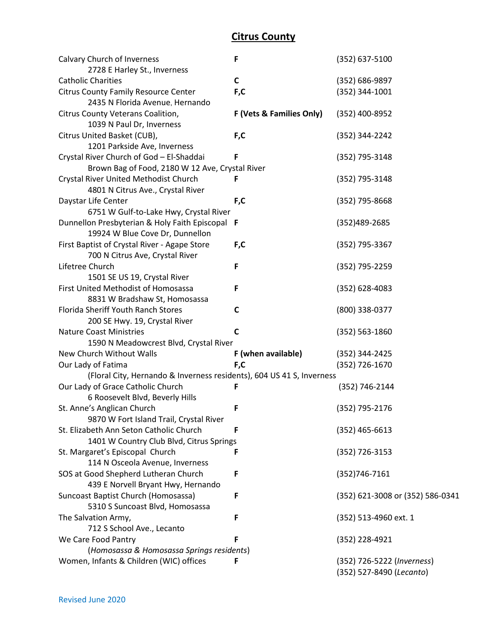## **Citrus County**

| <b>Calvary Church of Inverness</b>                                       | F                        | (352) 637-5100                   |
|--------------------------------------------------------------------------|--------------------------|----------------------------------|
| 2728 E Harley St., Inverness                                             |                          |                                  |
| <b>Catholic Charities</b><br><b>Citrus County Family Resource Center</b> | C<br>F,C                 | (352) 686-9897                   |
| 2435 N Florida Avenue, Hernando                                          |                          | (352) 344-1001                   |
|                                                                          |                          |                                  |
| Citrus County Veterans Coalition,                                        | F (Vets & Families Only) | (352) 400-8952                   |
| 1039 N Paul Dr, Inverness                                                |                          |                                  |
| Citrus United Basket (CUB),                                              | F,C                      | (352) 344-2242                   |
| 1201 Parkside Ave, Inverness                                             |                          |                                  |
| Crystal River Church of God - El-Shaddai                                 | F                        | (352) 795-3148                   |
| Brown Bag of Food, 2180 W 12 Ave, Crystal River                          |                          |                                  |
| Crystal River United Methodist Church                                    | F                        | (352) 795-3148                   |
| 4801 N Citrus Ave., Crystal River                                        |                          |                                  |
| Daystar Life Center                                                      | F,C                      | (352) 795-8668                   |
| 6751 W Gulf-to-Lake Hwy, Crystal River                                   |                          |                                  |
| Dunnellon Presbyterian & Holy Faith Episcopal F                          |                          | (352)489-2685                    |
| 19924 W Blue Cove Dr, Dunnellon                                          |                          |                                  |
| First Baptist of Crystal River - Agape Store                             | F,C                      | (352) 795-3367                   |
| 700 N Citrus Ave, Crystal River                                          |                          |                                  |
| Lifetree Church                                                          | F                        | (352) 795-2259                   |
| 1501 SE US 19, Crystal River                                             |                          |                                  |
| First United Methodist of Homosassa                                      | F                        | $(352)$ 628-4083                 |
| 8831 W Bradshaw St, Homosassa                                            |                          |                                  |
| Florida Sheriff Youth Ranch Stores                                       | C                        | (800) 338-0377                   |
| 200 SE Hwy. 19, Crystal River                                            |                          |                                  |
| <b>Nature Coast Ministries</b>                                           | $\mathsf{C}$             | (352) 563-1860                   |
| 1590 N Meadowcrest Blvd, Crystal River                                   |                          |                                  |
| New Church Without Walls                                                 | F (when available)       | (352) 344-2425                   |
| Our Lady of Fatima                                                       | F,C                      | (352) 726-1670                   |
|                                                                          |                          |                                  |
| (Floral City, Hernando & Inverness residents), 604 US 41 S, Inverness    |                          |                                  |
| Our Lady of Grace Catholic Church                                        | F                        | (352) 746-2144                   |
| 6 Roosevelt Blvd, Beverly Hills                                          |                          |                                  |
| St. Anne's Anglican Church                                               | F                        | (352) 795-2176                   |
| 9870 W Fort Island Trail, Crystal River                                  |                          |                                  |
| St. Elizabeth Ann Seton Catholic Church                                  | F                        | $(352)$ 465-6613                 |
| 1401 W Country Club Blvd, Citrus Springs                                 |                          |                                  |
| St. Margaret's Episcopal Church                                          |                          | $(352)$ 726-3153                 |
| 114 N Osceola Avenue, Inverness                                          |                          |                                  |
| SOS at Good Shepherd Lutheran Church                                     | F                        | (352)746-7161                    |
| 439 E Norvell Bryant Hwy, Hernando                                       |                          |                                  |
| Suncoast Baptist Church (Homosassa)                                      | F                        | (352) 621-3008 or (352) 586-0341 |
| 5310 S Suncoast Blvd, Homosassa                                          |                          |                                  |
| The Salvation Army,                                                      | F                        | (352) 513-4960 ext. 1            |
| 712 S School Ave., Lecanto                                               |                          |                                  |
| We Care Food Pantry                                                      | F                        | (352) 228-4921                   |
| (Homosassa & Homosassa Springs residents)                                |                          |                                  |
| Women, Infants & Children (WIC) offices                                  | F                        | (352) 726-5222 (Inverness)       |
|                                                                          |                          | (352) 527-8490 (Lecanto)         |
|                                                                          |                          |                                  |